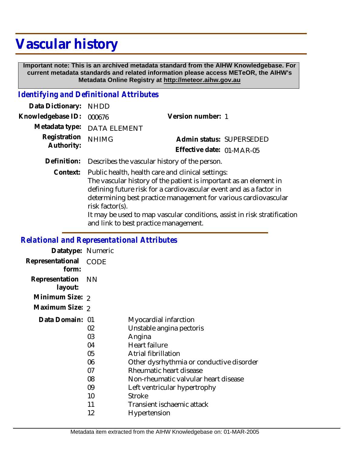# **Vascular history**

 **Important note: This is an archived metadata standard from the AIHW Knowledgebase. For current metadata standards and related information please access METeOR, the AIHW's Metadata Online Registry at http://meteor.aihw.gov.au**

#### *Identifying and Definitional Attributes*

| Data Dictionary: NHDD                                    |                             |                           |  |
|----------------------------------------------------------|-----------------------------|---------------------------|--|
| Knowledgebase ID: 000676                                 |                             | Version number: 1         |  |
|                                                          | Metadata type: DATA ELEMENT |                           |  |
| Registration NHIMG                                       |                             | Admin status: SUPERSEDED  |  |
| Authority:                                               |                             | Effective date: 01-MAR-05 |  |
| Definition: Describes the vascular bistory of the person |                             |                           |  |

**Definition:** Describes the vascular history of the person.

Context: Public health, health care and clinical settings: The vascular history of the patient is important as an element in defining future risk for a cardiovascular event and as a factor in determining best practice management for various cardiovascular risk factor(s).

It may be used to map vascular conditions, assist in risk stratification and link to best practice management.

#### *Relational and Representational Attributes*

| Datatype: Numeric         |             |                                          |
|---------------------------|-------------|------------------------------------------|
| Representational<br>form: | <b>CODE</b> |                                          |
| Representation<br>layout: | – NN        |                                          |
| Minimum Size: 2           |             |                                          |
| Maximum Size: 2           |             |                                          |
| Data Domain: 01           |             | Myocardial infarction                    |
|                           | 02          | Unstable angina pectoris                 |
|                           | 03          | Angina                                   |
|                           | 04          | Heart failure                            |
|                           | 05          | Atrial fibrillation                      |
|                           | 06          | Other dysrhythmia or conductive disorder |
|                           | 07          | Rheumatic heart disease                  |
|                           | 08          | Non-rheumatic valvular heart disease     |
|                           | 09          | Left ventricular hypertrophy             |
|                           | 10          | <b>Stroke</b>                            |
|                           | 11          | Transient ischaemic attack               |
|                           | 12          | Hypertension                             |